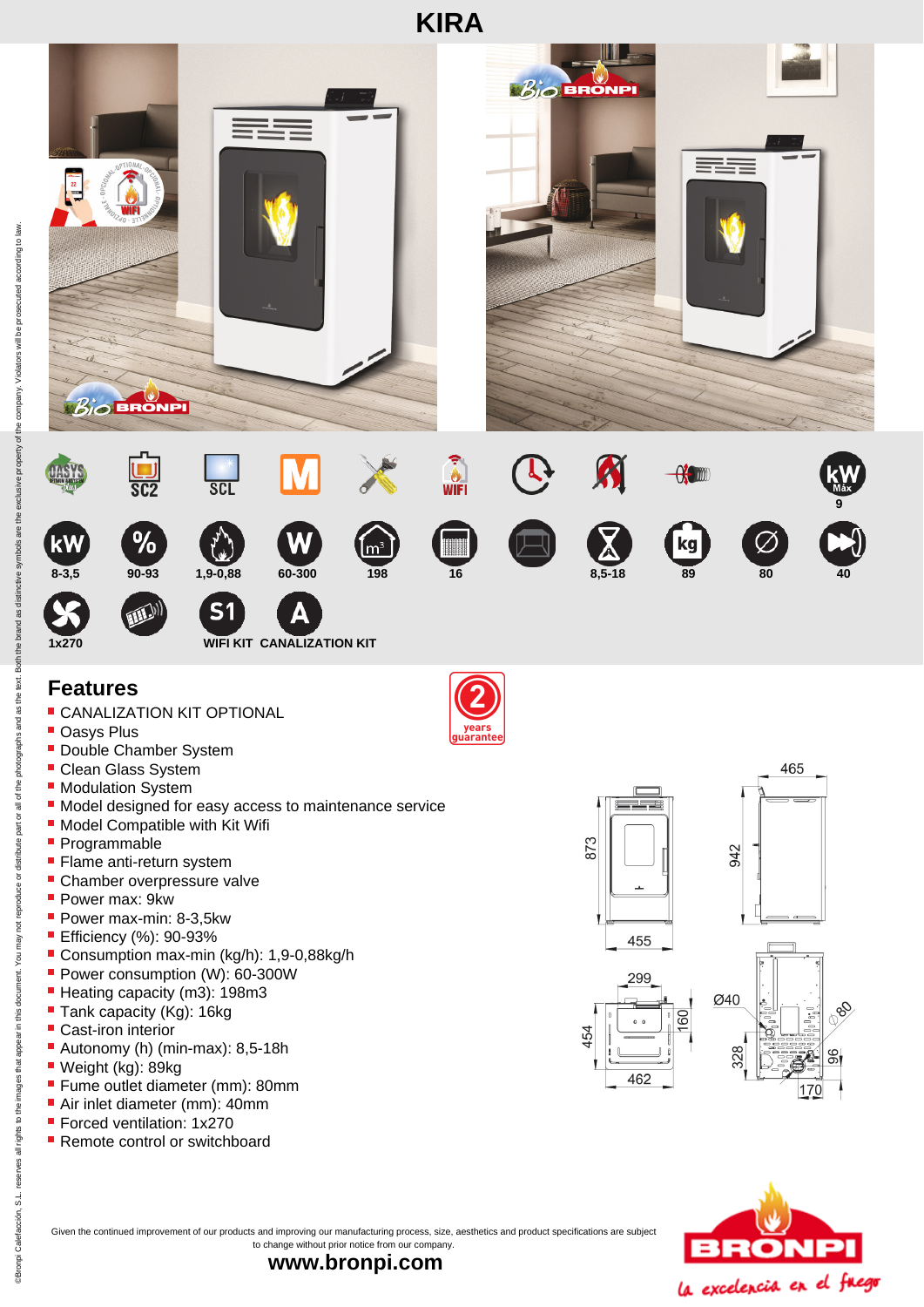

## **Features**

- **CANALIZATION KIT OPTIONAL**
- **Oasys Plus**
- **Double Chamber System**
- **Clean Glass System**
- **Modulation System**
- $\blacksquare$  Model designed for easy access to maintenance service
- **Model Compatible with Kit Wifi**
- Programmable
- **Flame anti-return system**
- Chamber overpressure valve
- Power max: 9kw
- Power max-min: 8-3,5kw
- **Efficiency (%): 90-93%**
- Consumption max-min (kg/h): 1,9-0,88kg/h
- Power consumption (W): 60-300W
- Heating capacity (m3): 198m3
- Tank capacity (Kg): 16kg
- Cast-iron interior
- Autonomy (h) (min-max): 8,5-18h
- Weight (kg): 89kg
- **Fume outlet diameter (mm): 80mm**
- Air inlet diameter (mm): 40mm
- **Forced ventilation: 1x270**
- Remote control or switchboard







8

96

Given the continued improvement of our products and improving our manufacturing process, size, aesthetics and product specifications are subject to change without prior notice from our company.

**www.bronpi.com**